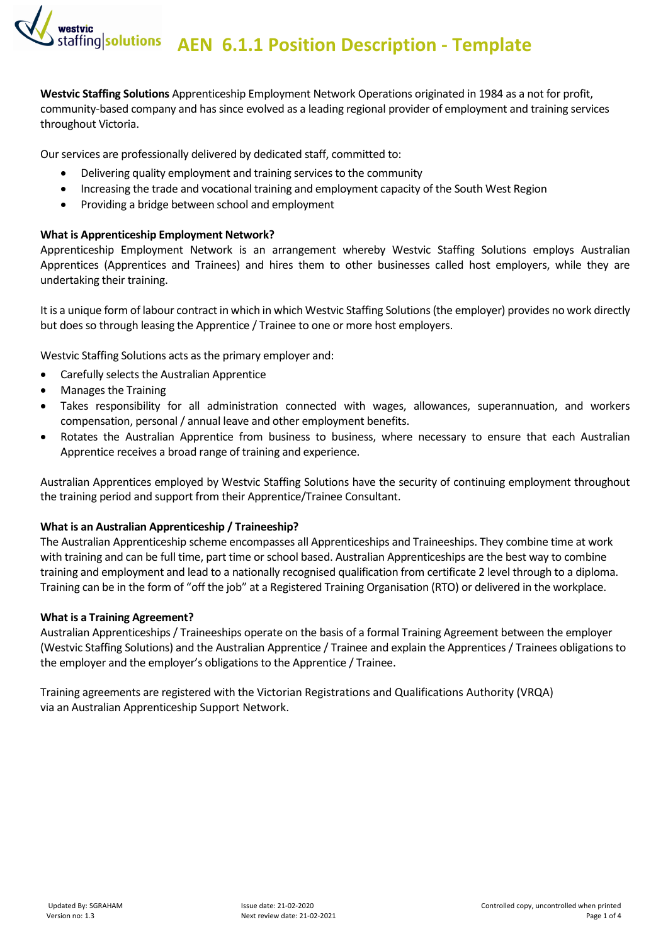**AEN 6.1.1 Position Description - Template**

**Westvic Staffing Solutions** Apprenticeship Employment Network Operations originated in 1984 as a not for profit, community-based company and has since evolved as a leading regional provider of employment and training services throughout Victoria.

Our services are professionally delivered by dedicated staff, committed to:

- Delivering quality employment and training services to the community
- Increasing the trade and vocational training and employment capacity of the South West Region
- Providing a bridge between school and employment

#### **What is Apprenticeship Employment Network?**

Apprenticeship Employment Network is an arrangement whereby Westvic Staffing Solutions employs Australian Apprentices (Apprentices and Trainees) and hires them to other businesses called host employers, while they are undertaking their training.

It is a unique form of labour contract in which in which Westvic Staffing Solutions (the employer) provides no work directly but does so through leasing the Apprentice / Trainee to one or more host employers.

Westvic Staffing Solutions acts as the primary employer and:

- Carefully selects the Australian Apprentice
- Manages the Training
- Takes responsibility for all administration connected with wages, allowances, superannuation, and workers compensation, personal / annual leave and other employment benefits.
- Rotates the Australian Apprentice from business to business, where necessary to ensure that each Australian Apprentice receives a broad range of training and experience.

Australian Apprentices employed by Westvic Staffing Solutions have the security of continuing employment throughout the training period and support from their Apprentice/Trainee Consultant.

#### **What is an Australian Apprenticeship / Traineeship?**

The Australian Apprenticeship scheme encompasses all Apprenticeships and Traineeships. They combine time at work with training and can be full time, part time or school based. Australian Apprenticeships are the best way to combine training and employment and lead to a nationally recognised qualification from certificate 2 level through to a diploma. Training can be in the form of "off the job" at a Registered Training Organisation (RTO) or delivered in the workplace.

#### **What is a Training Agreement?**

Australian Apprenticeships / Traineeships operate on the basis of a formal Training Agreement between the employer (Westvic Staffing Solutions) and the Australian Apprentice / Trainee and explain the Apprentices / Trainees obligations to the employer and the employer's obligations to the Apprentice / Trainee.

Training agreements are registered with the Victorian Registrations and Qualifications Authority (VRQA) via an Australian Apprenticeship Support Network.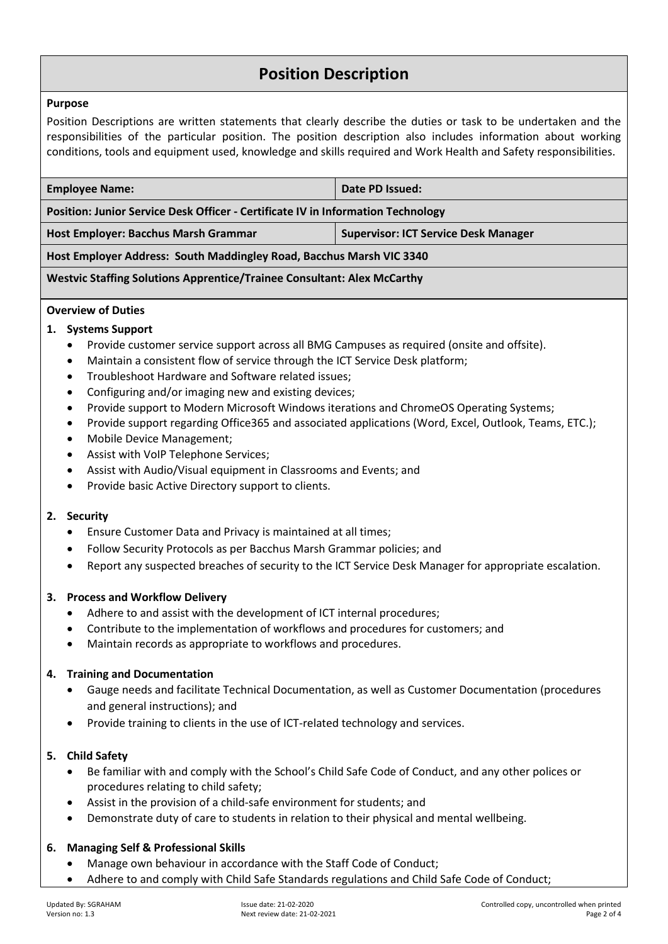# **Position Description**

#### **Purpose**

Position Descriptions are written statements that clearly describe the duties or task to be undertaken and the responsibilities of the particular position. The position description also includes information about working conditions, tools and equipment used, knowledge and skills required and Work Health and Safety responsibilities.

| <b>Employee Name:</b>                                                            | Date PD Issued:                             |  |  |
|----------------------------------------------------------------------------------|---------------------------------------------|--|--|
| Position: Junior Service Desk Officer - Certificate IV in Information Technology |                                             |  |  |
| Host Employer: Bacchus Marsh Grammar                                             | <b>Supervisor: ICT Service Desk Manager</b> |  |  |
| Host Employer Address: South Maddingley Road, Bacchus Marsh VIC 3340             |                                             |  |  |

#### **Westvic Staffing Solutions Apprentice/Trainee Consultant: Alex McCarthy**

# **Overview of Duties**

## **1. Systems Support**

- Provide customer service support across all BMG Campuses as required (onsite and offsite).
- Maintain a consistent flow of service through the ICT Service Desk platform;
- Troubleshoot Hardware and Software related issues;
- Configuring and/or imaging new and existing devices;
- Provide support to Modern Microsoft Windows iterations and ChromeOS Operating Systems;
- Provide support regarding Office365 and associated applications (Word, Excel, Outlook, Teams, ETC.);
- Mobile Device Management;
- Assist with VoIP Telephone Services;
- Assist with Audio/Visual equipment in Classrooms and Events; and
- Provide basic Active Directory support to clients.

#### **2. Security**

- Ensure Customer Data and Privacy is maintained at all times;
- Follow Security Protocols as per Bacchus Marsh Grammar policies; and
- Report any suspected breaches of security to the ICT Service Desk Manager for appropriate escalation.

## **3. Process and Workflow Delivery**

- Adhere to and assist with the development of ICT internal procedures;
- Contribute to the implementation of workflows and procedures for customers; and
- Maintain records as appropriate to workflows and procedures.

## **4. Training and Documentation**

- Gauge needs and facilitate Technical Documentation, as well as Customer Documentation (procedures and general instructions); and
- Provide training to clients in the use of ICT-related technology and services.

## **5. Child Safety**

- Be familiar with and comply with the School's Child Safe Code of Conduct, and any other polices or procedures relating to child safety;
- Assist in the provision of a child-safe environment for students; and
- Demonstrate duty of care to students in relation to their physical and mental wellbeing.

## **6. Managing Self & Professional Skills**

- Manage own behaviour in accordance with the Staff Code of Conduct;
- Adhere to and comply with Child Safe Standards regulations and Child Safe Code of Conduct;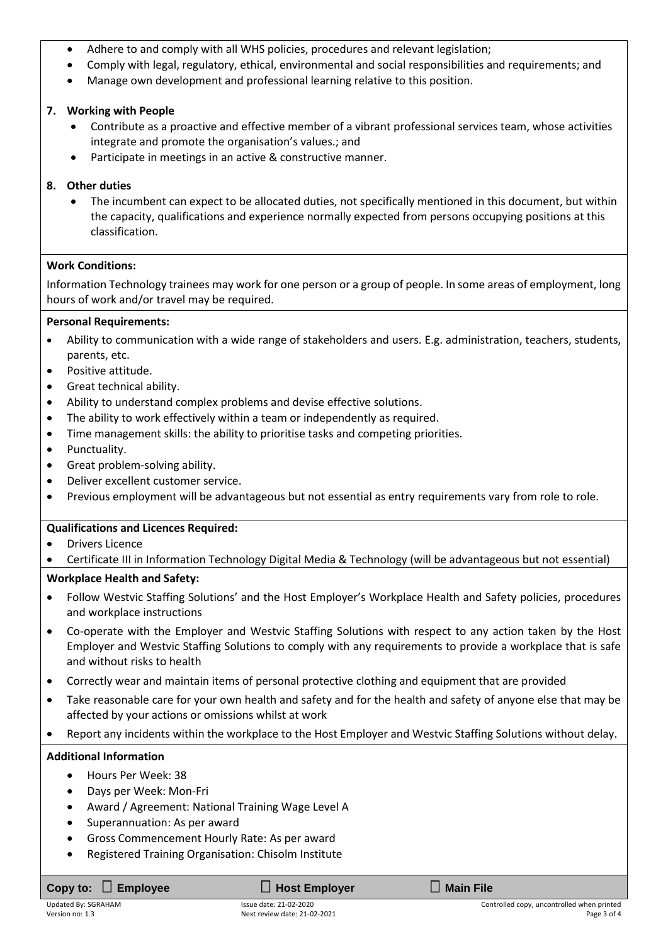- Adhere to and comply with all WHS policies, procedures and relevant legislation;
- Comply with legal, regulatory, ethical, environmental and social responsibilities and requirements; and
- Manage own development and professional learning relative to this position.

# **7. Working with People**

- Contribute as a proactive and effective member of a vibrant professional services team, whose activities integrate and promote the organisation's values.; and
- Participate in meetings in an active & constructive manner.
- **8. Other duties**
	- The incumbent can expect to be allocated duties, not specifically mentioned in this document, but within the capacity, qualifications and experience normally expected from persons occupying positions at this classification.

# **Work Conditions:**

Information Technology trainees may work for one person or a group of people. In some areas of employment, long hours of work and/or travel may be required.

## **Personal Requirements:**

- Ability to communication with a wide range of stakeholders and users. E.g. administration, teachers, students, parents, etc.
- Positive attitude.
- Great technical ability.
- Ability to understand complex problems and devise effective solutions.
- The ability to work effectively within a team or independently as required.
- Time management skills: the ability to prioritise tasks and competing priorities.
- Punctuality.
- Great problem-solving ability.
- Deliver excellent customer service.
- Previous employment will be advantageous but not essential as entry requirements vary from role to role.

## **Qualifications and Licences Required:**

- **Drivers Licence**
- Certificate III in Information Technology Digital Media & Technology (will be advantageous but not essential)

# **Workplace Health and Safety:**

- Follow Westvic Staffing Solutions' and the Host Employer's Workplace Health and Safety policies, procedures and workplace instructions
- Co-operate with the Employer and Westvic Staffing Solutions with respect to any action taken by the Host Employer and Westvic Staffing Solutions to comply with any requirements to provide a workplace that is safe and without risks to health
- Correctly wear and maintain items of personal protective clothing and equipment that are provided
- Take reasonable care for your own health and safety and for the health and safety of anyone else that may be affected by your actions or omissions whilst at work
- Report any incidents within the workplace to the Host Employer and Westvic Staffing Solutions without delay.

# **Additional Information**

- Hours Per Week: 38
- Days per Week: Mon-Fri
- Award / Agreement: National Training Wage Level A
- Superannuation: As per award
- Gross Commencement Hourly Rate: As per award
- Registered Training Organisation: Chisolm Institute

| Copy to: $\Box$ Employee | $\Box$ Host Employer         | $\Box$ Main File                           |
|--------------------------|------------------------------|--------------------------------------------|
| Updated By: SGRAHAM      | Issue date: 21-02-2020       | Controlled copy, uncontrolled when printed |
| Version no: 1.3          | Next review date: 21-02-2021 | Page 3 of 4                                |